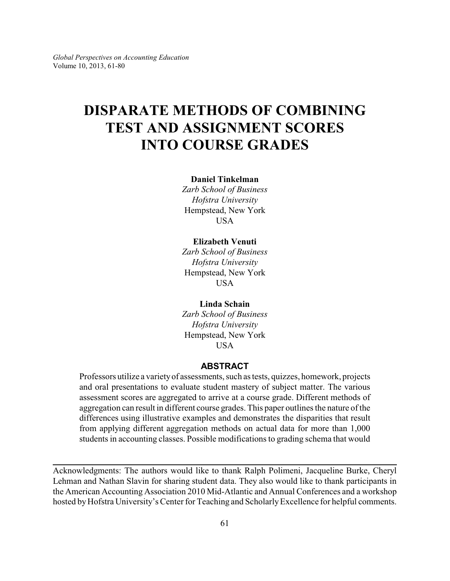# **DISPARATE METHODS OF COMBINING TEST AND ASSIGNMENT SCORES INTO COURSE GRADES**

### **Daniel Tinkelman**

*Zarb School of Business Hofstra University* Hempstead, New York **USA** 

### **Elizabeth Venuti**

*Zarb School of Business Hofstra University* Hempstead, New York USA

**Linda Schain** *Zarb School of Business Hofstra University*

Hempstead, New York **USA** 

### **ABSTRACT**

Professors utilize a varietyof assessments, such as tests, quizzes, homework, projects and oral presentations to evaluate student mastery of subject matter. The various assessment scores are aggregated to arrive at a course grade. Different methods of aggregation can result in different course grades. This paper outlines the nature of the differences using illustrative examples and demonstrates the disparities that result from applying different aggregation methods on actual data for more than 1,000 students in accounting classes. Possible modifications to grading schema that would

Acknowledgments: The authors would like to thank Ralph Polimeni, Jacqueline Burke, Cheryl Lehman and Nathan Slavin for sharing student data. They also would like to thank participants in the American Accounting Association 2010 Mid-Atlantic and Annual Conferences and a workshop hosted by Hofstra University's Center for Teaching and Scholarly Excellence for helpful comments.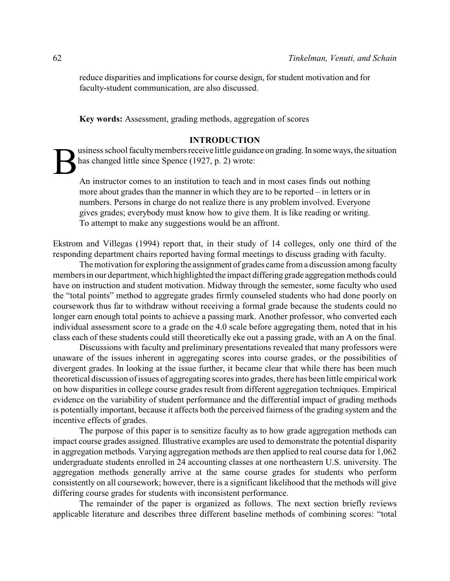reduce disparities and implications for course design, for student motivation and for faculty-student communication, are also discussed.

**Key words:** Assessment, grading methods, aggregation of scores

### **INTRODUCTION**

B usiness school faculty members receive little guidance on grading. In some ways, the situation has changed little since Spence (1927, p. 2) wrote:

An instructor comes to an institution to teach and in most cases finds out nothing more about grades than the manner in which they are to be reported – in letters or in numbers. Persons in charge do not realize there is any problem involved. Everyone gives grades; everybody must know how to give them. It is like reading or writing. To attempt to make any suggestions would be an affront.

Ekstrom and Villegas (1994) report that, in their study of 14 colleges, only one third of the responding department chairs reported having formal meetings to discuss grading with faculty.

The motivation for exploring the assignment of grades came from a discussion among faculty members in our department, which highlighted the impact differing grade aggregation methods could have on instruction and student motivation. Midway through the semester, some faculty who used the "total points" method to aggregate grades firmly counseled students who had done poorly on coursework thus far to withdraw without receiving a formal grade because the students could no longer earn enough total points to achieve a passing mark. Another professor, who converted each individual assessment score to a grade on the 4.0 scale before aggregating them, noted that in his class each of these students could still theoretically eke out a passing grade, with an A on the final.

Discussions with faculty and preliminary presentations revealed that many professors were unaware of the issues inherent in aggregating scores into course grades, or the possibilities of divergent grades. In looking at the issue further, it became clear that while there has been much theoretical discussion of issues of aggregating scores into grades, there has been little empirical work on how disparities in college course grades result from different aggregation techniques. Empirical evidence on the variability of student performance and the differential impact of grading methods is potentially important, because it affects both the perceived fairness of the grading system and the incentive effects of grades.

The purpose of this paper is to sensitize faculty as to how grade aggregation methods can impact course grades assigned. Illustrative examples are used to demonstrate the potential disparity in aggregation methods. Varying aggregation methods are then applied to real course data for 1,062 undergraduate students enrolled in 24 accounting classes at one northeastern U.S. university. The aggregation methods generally arrive at the same course grades for students who perform consistently on all coursework; however, there is a significant likelihood that the methods will give differing course grades for students with inconsistent performance.

The remainder of the paper is organized as follows. The next section briefly reviews applicable literature and describes three different baseline methods of combining scores: "total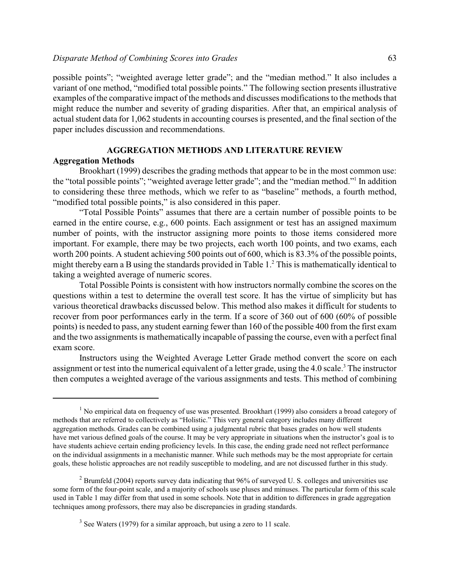possible points"; "weighted average letter grade"; and the "median method." It also includes a variant of one method, "modified total possible points." The following section presents illustrative examples of the comparative impact of the methods and discusses modifications to the methods that might reduce the number and severity of grading disparities. After that, an empirical analysis of actual student data for 1,062 students in accounting courses is presented, and the final section of the paper includes discussion and recommendations.

### **AGGREGATION METHODS AND LITERATURE REVIEW**

### **Aggregation Methods**

Brookhart (1999) describes the grading methods that appear to be in the most common use: the "total possible points"; "weighted average letter grade"; and the "median method."<sup>1</sup> In addition to considering these three methods, which we refer to as "baseline" methods, a fourth method, "modified total possible points," is also considered in this paper.

"Total Possible Points" assumes that there are a certain number of possible points to be earned in the entire course, e.g., 600 points. Each assignment or test has an assigned maximum number of points, with the instructor assigning more points to those items considered more important. For example, there may be two projects, each worth 100 points, and two exams, each worth 200 points. A student achieving 500 points out of 600, which is 83.3% of the possible points, might thereby earn a B using the standards provided in Table 1.<sup>2</sup> This is mathematically identical to taking a weighted average of numeric scores.

Total Possible Points is consistent with how instructors normally combine the scores on the questions within a test to determine the overall test score. It has the virtue of simplicity but has various theoretical drawbacks discussed below. This method also makes it difficult for students to recover from poor performances early in the term. If a score of 360 out of 600 (60% of possible points) is needed to pass, any student earning fewer than 160 of the possible 400 from the first exam and the two assignments is mathematically incapable of passing the course, even with a perfect final exam score.

Instructors using the Weighted Average Letter Grade method convert the score on each assignment or test into the numerical equivalent of a letter grade, using the 4.0 scale.<sup>3</sup> The instructor then computes a weighted average of the various assignments and tests. This method of combining

 $<sup>1</sup>$  No empirical data on frequency of use was presented. Brookhart (1999) also considers a broad category of</sup> methods that are referred to collectively as "Holistic." This very general category includes many different aggregation methods. Grades can be combined using a judgmental rubric that bases grades on how well students have met various defined goals of the course. It may be very appropriate in situations when the instructor's goal is to have students achieve certain ending proficiency levels. In this case, the ending grade need not reflect performance on the individual assignments in a mechanistic manner. While such methods may be the most appropriate for certain goals, these holistic approaches are not readily susceptible to modeling, and are not discussed further in this study.

 $2$  Brumfeld (2004) reports survey data indicating that 96% of surveyed U. S. colleges and universities use some form of the four-point scale, and a majority of schools use pluses and minuses. The particular form of this scale used in Table 1 may differ from that used in some schools. Note that in addition to differences in grade aggregation techniques among professors, there may also be discrepancies in grading standards.

 $3$  See Waters (1979) for a similar approach, but using a zero to 11 scale.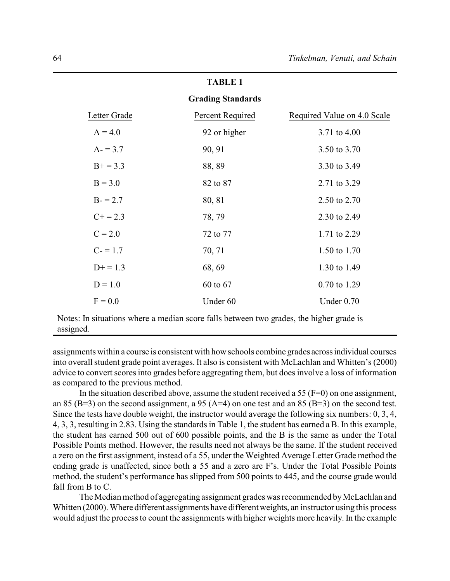### **Grading Standards**

| Letter Grade | Percent Required | Required Value on 4.0 Scale |
|--------------|------------------|-----------------------------|
| $A = 4.0$    | 92 or higher     | 3.71 to 4.00                |
| $A = 3.7$    | 90, 91           | 3.50 to 3.70                |
| $B+ = 3.3$   | 88,89            | 3.30 to 3.49                |
| $B = 3.0$    | 82 to 87         | 2.71 to 3.29                |
| $B = 2.7$    | 80, 81           | 2.50 to 2.70                |
| $C+=2.3$     | 78, 79           | 2.30 to 2.49                |
| $C = 2.0$    | 72 to 77         | 1.71 to 2.29                |
| $C = 1.7$    | 70, 71           | 1.50 to 1.70                |
| $D+ = 1.3$   | 68, 69           | 1.30 to 1.49                |
| $D = 1.0$    | 60 to 67         | 0.70 to 1.29                |
| $F = 0.0$    | Under 60         | Under $0.70$                |

Notes: In situations where a median score falls between two grades, the higher grade is assigned.

assignments within a course is consistent with how schools combine grades acrossindividual courses into overall student grade point averages. It also is consistent with McLachlan and Whitten's (2000) advice to convert scores into grades before aggregating them, but does involve a loss of information as compared to the previous method.

In the situation described above, assume the student received a 55 ( $F=0$ ) on one assignment, an 85 (B=3) on the second assignment, a 95 (A=4) on one test and an 85 (B=3) on the second test. Since the tests have double weight, the instructor would average the following six numbers: 0, 3, 4, 4, 3, 3, resulting in 2.83. Using the standards in Table 1, the student has earned a B. In this example, the student has earned 500 out of 600 possible points, and the B is the same as under the Total Possible Points method. However, the results need not always be the same. If the student received a zero on the first assignment, instead of a 55, under the Weighted Average Letter Grade method the ending grade is unaffected, since both a 55 and a zero are F's. Under the Total Possible Points method, the student's performance has slipped from 500 points to 445, and the course grade would fall from B to C.

The Median method of aggregating assignment grades was recommended byMcLachlan and Whitten (2000). Where different assignments have different weights, an instructor using this process would adjust the process to count the assignments with higher weights more heavily. In the example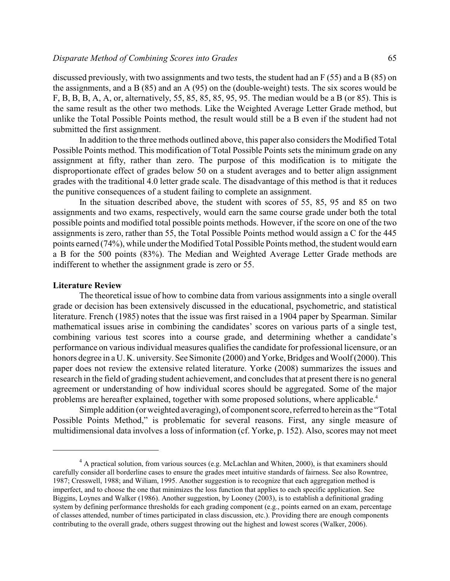discussed previously, with two assignments and two tests, the student had an F (55) and a B (85) on the assignments, and a B (85) and an A (95) on the (double-weight) tests. The six scores would be F, B, B, B, A, A, or, alternatively, 55, 85, 85, 85, 95, 95. The median would be a B (or 85). This is the same result as the other two methods. Like the Weighted Average Letter Grade method, but unlike the Total Possible Points method, the result would still be a B even if the student had not submitted the first assignment.

In addition to the three methods outlined above, this paper also considers the Modified Total Possible Points method. This modification of Total Possible Points sets the minimum grade on any assignment at fifty, rather than zero. The purpose of this modification is to mitigate the disproportionate effect of grades below 50 on a student averages and to better align assignment grades with the traditional 4.0 letter grade scale. The disadvantage of this method is that it reduces the punitive consequences of a student failing to complete an assignment.

In the situation described above, the student with scores of 55, 85, 95 and 85 on two assignments and two exams, respectively, would earn the same course grade under both the total possible points and modified total possible points methods. However, if the score on one of the two assignments is zero, rather than 55, the Total Possible Points method would assign a C for the 445 points earned (74%), while under the Modified Total Possible Points method, the student would earn a B for the 500 points (83%). The Median and Weighted Average Letter Grade methods are indifferent to whether the assignment grade is zero or 55.

### **Literature Review**

The theoretical issue of how to combine data from various assignments into a single overall grade or decision has been extensively discussed in the educational, psychometric, and statistical literature. French (1985) notes that the issue was first raised in a 1904 paper by Spearman. Similar mathematical issues arise in combining the candidates' scores on various parts of a single test, combining various test scores into a course grade, and determining whether a candidate's performance on various individual measures qualifies the candidate for professional licensure, or an honors degree in a U. K. university. See Simonite (2000) and Yorke, Bridges and Woolf (2000). This paper does not review the extensive related literature. Yorke (2008) summarizes the issues and research in the field of grading student achievement, and concludes that at present there is no general agreement or understanding of how individual scores should be aggregated. Some of the major problems are hereafter explained, together with some proposed solutions, where applicable.<sup>4</sup>

Simple addition (or weighted averaging), of component score, referred to herein as the "Total Possible Points Method," is problematic for several reasons. First, any single measure of multidimensional data involves a loss of information (cf. Yorke, p. 152). Also, scores may not meet

 $4$  A practical solution, from various sources (e.g. McLachlan and Whiten, 2000), is that examiners should carefully consider all borderline cases to ensure the grades meet intuitive standards of fairness. See also Rowntree, 1987; Cresswell, 1988; and Wiliam, 1995. Another suggestion is to recognize that each aggregation method is imperfect, and to choose the one that minimizes the loss function that applies to each specific application. See Biggins, Loynes and Walker (1986). Another suggestion, by Looney (2003), is to establish a definitional grading system by defining performance thresholds for each grading component (e.g., points earned on an exam, percentage of classes attended, number of times participated in class discussion, etc.). Providing there are enough components contributing to the overall grade, others suggest throwing out the highest and lowest scores (Walker, 2006).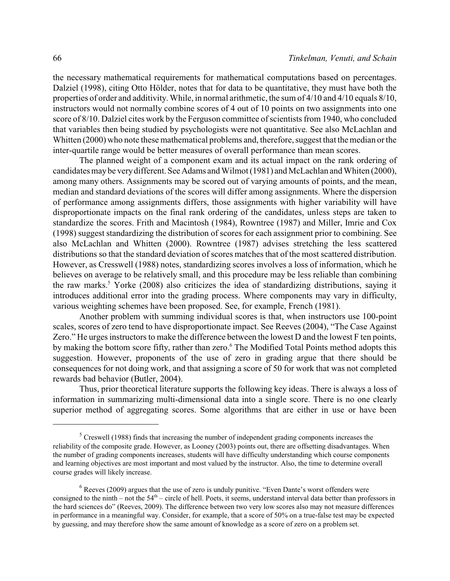the necessary mathematical requirements for mathematical computations based on percentages. Dalziel (1998), citing Otto Hölder, notes that for data to be quantitative, they must have both the properties of order and additivity. While, in normal arithmetic, the sum of 4/10 and 4/10 equals 8/10, instructors would not normally combine scores of 4 out of 10 points on two assignments into one score of 8/10. Dalziel cites work by the Ferguson committee of scientists from 1940, who concluded that variables then being studied by psychologists were not quantitative. See also McLachlan and Whitten (2000) who note these mathematical problems and, therefore, suggest that the median or the inter-quartile range would be better measures of overall performance than mean scores.

The planned weight of a component exam and its actual impact on the rank ordering of candidates may be very different. See Adams and Wilmot (1981) and McLachlan and Whiten (2000), among many others. Assignments may be scored out of varying amounts of points, and the mean, median and standard deviations of the scores will differ among assignments. Where the dispersion of performance among assignments differs, those assignments with higher variability will have disproportionate impacts on the final rank ordering of the candidates, unless steps are taken to standardize the scores. Frith and Macintosh (1984), Rowntree (1987) and Miller, Imrie and Cox (1998) suggest standardizing the distribution of scores for each assignment prior to combining. See also McLachlan and Whitten (2000). Rowntree (1987) advises stretching the less scattered distributions so that the standard deviation of scores matches that of the most scattered distribution. However, as Cresswell (1988) notes, standardizing scores involves a loss of information, which he believes on average to be relatively small, and this procedure may be less reliable than combining the raw marks.<sup>5</sup> Yorke (2008) also criticizes the idea of standardizing distributions, saying it introduces additional error into the grading process. Where components may vary in difficulty, various weighting schemes have been proposed. See, for example, French (1981).

Another problem with summing individual scores is that, when instructors use 100-point scales, scores of zero tend to have disproportionate impact. See Reeves (2004), "The Case Against Zero." He urges instructors to make the difference between the lowest D and the lowest F ten points, by making the bottom score fifty, rather than zero.<sup>6</sup> The Modified Total Points method adopts this suggestion. However, proponents of the use of zero in grading argue that there should be consequences for not doing work, and that assigning a score of 50 for work that was not completed rewards bad behavior (Butler, 2004).

Thus, prior theoretical literature supports the following key ideas. There is always a loss of information in summarizing multi-dimensional data into a single score. There is no one clearly superior method of aggregating scores. Some algorithms that are either in use or have been

 $<sup>5</sup>$  Creswell (1988) finds that increasing the number of independent grading components increases the</sup> reliability of the composite grade. However, as Looney (2003) points out, there are offsetting disadvantages. When the number of grading components increases, students will have difficulty understanding which course components and learning objectives are most important and most valued by the instructor. Also, the time to determine overall course grades will likely increase.

 $<sup>6</sup>$  Reeves (2009) argues that the use of zero is unduly punitive. "Even Dante's worst offenders were</sup> consigned to the ninth – not the  $54<sup>th</sup>$  – circle of hell. Poets, it seems, understand interval data better than professors in the hard sciences do" (Reeves, 2009). The difference between two very low scores also may not measure differences in performance in a meaningful way. Consider, for example, that a score of 50% on a true-false test may be expected by guessing, and may therefore show the same amount of knowledge as a score of zero on a problem set.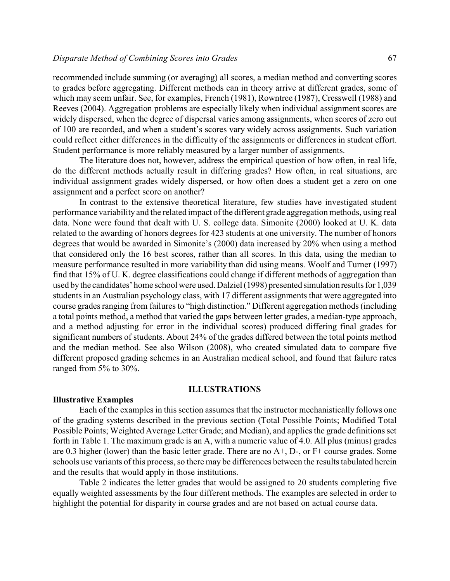### *Disparate Method of Combining Scores into Grades* 67

recommended include summing (or averaging) all scores, a median method and converting scores to grades before aggregating. Different methods can in theory arrive at different grades, some of which may seem unfair. See, for examples, French (1981), Rowntree (1987), Cresswell (1988) and Reeves (2004). Aggregation problems are especially likely when individual assignment scores are widely dispersed, when the degree of dispersal varies among assignments, when scores of zero out of 100 are recorded, and when a student's scores vary widely across assignments. Such variation could reflect either differences in the difficulty of the assignments or differences in student effort. Student performance is more reliably measured by a larger number of assignments.

The literature does not, however, address the empirical question of how often, in real life, do the different methods actually result in differing grades? How often, in real situations, are individual assignment grades widely dispersed, or how often does a student get a zero on one assignment and a perfect score on another?

In contrast to the extensive theoretical literature, few studies have investigated student performance variability and the related impact of the different grade aggregation methods, using real data. None were found that dealt with U. S. college data. Simonite (2000) looked at U. K. data related to the awarding of honors degrees for 423 students at one university. The number of honors degrees that would be awarded in Simonite's (2000) data increased by 20% when using a method that considered only the 16 best scores, rather than all scores. In this data, using the median to measure performance resulted in more variability than did using means. Woolf and Turner (1997) find that 15% of U. K. degree classifications could change if different methods of aggregation than used bythe candidates' home school were used. Dalziel (1998) presented simulation results for 1,039 students in an Australian psychology class, with 17 different assignments that were aggregated into course grades ranging from failures to "high distinction." Different aggregation methods (including a total points method, a method that varied the gaps between letter grades, a median-type approach, and a method adjusting for error in the individual scores) produced differing final grades for significant numbers of students. About 24% of the grades differed between the total points method and the median method. See also Wilson (2008), who created simulated data to compare five different proposed grading schemes in an Australian medical school, and found that failure rates ranged from 5% to 30%.

### **ILLUSTRATIONS**

### **Illustrative Examples**

Each of the examples in this section assumes that the instructor mechanistically follows one of the grading systems described in the previous section (Total Possible Points; Modified Total Possible Points; Weighted Average Letter Grade; and Median), and applies the grade definitions set forth in Table 1. The maximum grade is an A, with a numeric value of 4.0. All plus (minus) grades are 0.3 higher (lower) than the basic letter grade. There are no A+, D-, or F+ course grades. Some schools use variants of this process, so there may be differences between the results tabulated herein and the results that would apply in those institutions.

Table 2 indicates the letter grades that would be assigned to 20 students completing five equally weighted assessments by the four different methods. The examples are selected in order to highlight the potential for disparity in course grades and are not based on actual course data.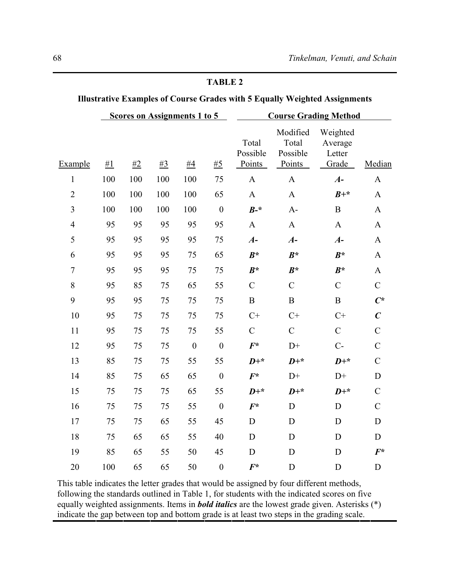|                | <b>Scores on Assignments 1 to 5</b> |      |       |                  |                  | <b>Course Grading Method</b>       |                                         |                                        |                  |  |  |
|----------------|-------------------------------------|------|-------|------------------|------------------|------------------------------------|-----------------------------------------|----------------------------------------|------------------|--|--|
| Example        | #1                                  | $#2$ | $\#3$ | #4               | $\#5$            | Total<br>Possible<br><b>Points</b> | Modified<br>Total<br>Possible<br>Points | Weighted<br>Average<br>Letter<br>Grade | Median           |  |  |
| $\mathbf{1}$   | 100                                 | 100  | 100   | 100              | 75               | $\mathbf{A}$                       | $\mathbf{A}$                            | $A-$                                   | $\mathbf{A}$     |  |  |
| $\overline{2}$ | 100                                 | 100  | 100   | 100              | 65               | $\mathbf{A}$                       | $\mathbf{A}$                            | $B+*$                                  | $\mathbf{A}$     |  |  |
| 3              | 100                                 | 100  | 100   | 100              | $\boldsymbol{0}$ | $B^{-*}$                           | $A-$                                    | $\bf{B}$                               | $\mathbf{A}$     |  |  |
| $\overline{4}$ | 95                                  | 95   | 95    | 95               | 95               | $\mathbf{A}$                       | $\mathbf{A}$                            | $\mathbf{A}$                           | $\mathbf{A}$     |  |  |
| 5              | 95                                  | 95   | 95    | 95               | 75               | $A-$                               | $A-$                                    | $A-$                                   | $\mathbf{A}$     |  |  |
| 6              | 95                                  | 95   | 95    | 75               | 65               | $B^*$                              | $B^*$                                   | $B^*$                                  | $\mathbf{A}$     |  |  |
| $\overline{7}$ | 95                                  | 95   | 95    | 75               | 75               | $B^*$                              | $B^*$                                   | $B^*$                                  | $\mathbf A$      |  |  |
| 8              | 95                                  | 85   | 75    | 65               | 55               | $\mathbf C$                        | $\mathcal{C}$                           | $\mathbf C$                            | $\mathbf C$      |  |  |
| 9              | 95                                  | 95   | 75    | 75               | 75               | $\bf{B}$                           | $\, {\bf B}$                            | $\, {\bf B}$                           | $C^*$            |  |  |
| 10             | 95                                  | 75   | 75    | 75               | 75               | $C+$                               | $C+$                                    | $C+$                                   | $\boldsymbol{C}$ |  |  |
| 11             | 95                                  | 75   | 75    | 75               | 55               | $\mathbf C$                        | $\mathcal{C}$                           | $\mathcal{C}$                          | $\mathcal{C}$    |  |  |
| 12             | 95                                  | 75   | 75    | $\boldsymbol{0}$ | $\boldsymbol{0}$ | $F^*$                              | $D+$                                    | $C -$                                  | $\mathcal{C}$    |  |  |
| 13             | 85                                  | 75   | 75    | 55               | 55               | $D+*$                              | $D+*$                                   | $D+*$                                  | $\mathcal{C}$    |  |  |
| 14             | 85                                  | 75   | 65    | 65               | $\mathbf{0}$     | $F^*$                              | $D+$                                    | $D+$                                   | $\mathbf D$      |  |  |
| 15             | 75                                  | 75   | 75    | 65               | 55               | $D+*$                              | $D+*$                                   | $D+*$                                  | $\mathcal{C}$    |  |  |
| 16             | 75                                  | 75   | 75    | 55               | $\mathbf{0}$     | $F^*$                              | $\mathbf D$                             | D                                      | $\mathsf C$      |  |  |
| 17             | 75                                  | 75   | 65    | 55               | 45               | D                                  | D                                       | D                                      | $\mathbf D$      |  |  |
| 18             | 75                                  | 65   | 65    | 55               | 40               | $\mathbf D$                        | $\mathbf D$                             | D                                      | $\mathbf D$      |  |  |
| 19             | 85                                  | 65   | 55    | 50               | 45               | D                                  | D                                       | D                                      | $F^*$            |  |  |
| 20             | 100                                 | 65   | 65    | 50               | $\boldsymbol{0}$ | $F^*$                              | D                                       | D                                      | D                |  |  |

This table indicates the letter grades that would be assigned by four different methods, following the standards outlined in Table 1, for students with the indicated scores on five equally weighted assignments. Items in *bold italics* are the lowest grade given. Asterisks (\*) indicate the gap between top and bottom grade is at least two steps in the grading scale.

# **TABLE 2**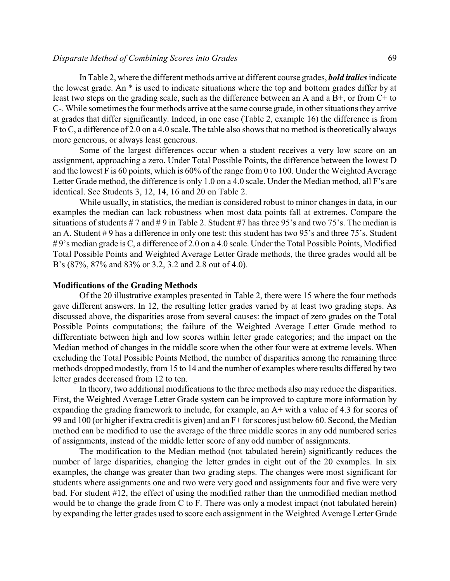### *Disparate Method of Combining Scores into Grades* 69

In Table 2, where the different methods arrive at different course grades, *bold italics*indicate the lowest grade. An \* is used to indicate situations where the top and bottom grades differ by at least two steps on the grading scale, such as the difference between an A and a  $B<sup>+</sup>$ , or from  $C<sup>+</sup>$  to C-. While sometimes the four methods arrive at the same course grade, in other situations they arrive at grades that differ significantly. Indeed, in one case (Table 2, example 16) the difference is from F to C, a difference of 2.0 on a 4.0 scale. The table also shows that no method is theoretically always more generous, or always least generous.

Some of the largest differences occur when a student receives a very low score on an assignment, approaching a zero. Under Total Possible Points, the difference between the lowest D and the lowest F is 60 points, which is 60% of the range from 0 to 100. Under the Weighted Average Letter Grade method, the difference is only 1.0 on a 4.0 scale. Under the Median method, all F's are identical. See Students 3, 12, 14, 16 and 20 on Table 2.

While usually, in statistics, the median is considered robust to minor changes in data, in our examples the median can lack robustness when most data points fall at extremes. Compare the situations of students  $# 7$  and  $# 9$  in Table 2. Student  $#7$  has three 95's and two 75's. The median is an A. Student #9 has a difference in only one test: this student has two 95's and three 75's. Student # 9's median grade is C, a difference of 2.0 on a 4.0 scale. Under the Total Possible Points, Modified Total Possible Points and Weighted Average Letter Grade methods, the three grades would all be B's (87%, 87% and 83% or 3.2, 3.2 and 2.8 out of 4.0).

### **Modifications of the Grading Methods**

Of the 20 illustrative examples presented in Table 2, there were 15 where the four methods gave different answers. In 12, the resulting letter grades varied by at least two grading steps. As discussed above, the disparities arose from several causes: the impact of zero grades on the Total Possible Points computations; the failure of the Weighted Average Letter Grade method to differentiate between high and low scores within letter grade categories; and the impact on the Median method of changes in the middle score when the other four were at extreme levels. When excluding the Total Possible Points Method, the number of disparities among the remaining three methods dropped modestly, from 15 to 14 and the number of examples where results differed by two letter grades decreased from 12 to ten.

In theory, two additional modifications to the three methods also may reduce the disparities. First, the Weighted Average Letter Grade system can be improved to capture more information by expanding the grading framework to include, for example, an  $A+$  with a value of 4.3 for scores of 99 and 100 (or higher if extra credit is given) and an F+ for scores just below 60. Second, the Median method can be modified to use the average of the three middle scores in any odd numbered series of assignments, instead of the middle letter score of any odd number of assignments.

The modification to the Median method (not tabulated herein) significantly reduces the number of large disparities, changing the letter grades in eight out of the 20 examples. In six examples, the change was greater than two grading steps. The changes were most significant for students where assignments one and two were very good and assignments four and five were very bad. For student #12, the effect of using the modified rather than the unmodified median method would be to change the grade from C to F. There was only a modest impact (not tabulated herein) by expanding the letter grades used to score each assignment in the Weighted Average Letter Grade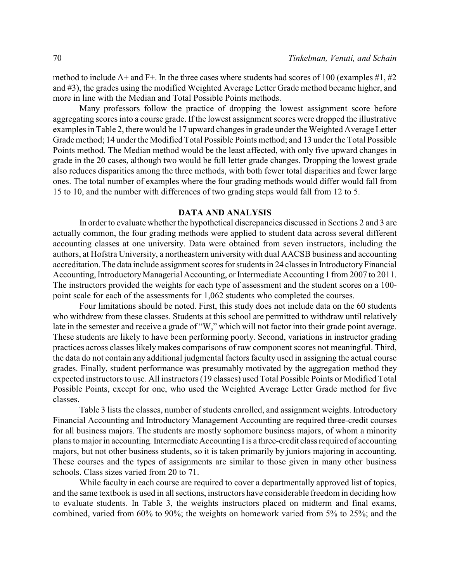method to include A+ and F+. In the three cases where students had scores of 100 (examples #1, #2) and #3), the grades using the modified Weighted Average Letter Grade method became higher, and more in line with the Median and Total Possible Points methods.

Many professors follow the practice of dropping the lowest assignment score before aggregating scores into a course grade. If the lowest assignment scores were dropped the illustrative examples in Table 2, there would be 17 upward changes in grade under the Weighted Average Letter Grade method; 14 under the Modified Total Possible Points method; and 13 under the Total Possible Points method. The Median method would be the least affected, with only five upward changes in grade in the 20 cases, although two would be full letter grade changes. Dropping the lowest grade also reduces disparities among the three methods, with both fewer total disparities and fewer large ones. The total number of examples where the four grading methods would differ would fall from 15 to 10, and the number with differences of two grading steps would fall from 12 to 5.

### **DATA AND ANALYSIS**

In order to evaluate whether the hypothetical discrepancies discussed in Sections 2 and 3 are actually common, the four grading methods were applied to student data across several different accounting classes at one university. Data were obtained from seven instructors, including the authors, at Hofstra University, a northeastern university with dual AACSB business and accounting accreditation. The data include assignment scores for students in 24 classes in IntroductoryFinancial Accounting, Introductory Managerial Accounting, or Intermediate Accounting 1 from 2007 to 2011. The instructors provided the weights for each type of assessment and the student scores on a 100 point scale for each of the assessments for 1,062 students who completed the courses.

Four limitations should be noted. First, this study does not include data on the 60 students who withdrew from these classes. Students at this school are permitted to withdraw until relatively late in the semester and receive a grade of "W," which will not factor into their grade point average. These students are likely to have been performing poorly. Second, variations in instructor grading practices across classes likely makes comparisons of raw component scores not meaningful. Third, the data do not contain any additional judgmental factors faculty used in assigning the actual course grades. Finally, student performance was presumably motivated by the aggregation method they expected instructors to use. All instructors (19 classes) used Total Possible Points or Modified Total Possible Points, except for one, who used the Weighted Average Letter Grade method for five classes.

Table 3 lists the classes, number of students enrolled, and assignment weights. Introductory Financial Accounting and Introductory Management Accounting are required three-credit courses for all business majors. The students are mostly sophomore business majors, of whom a minority plans to major in accounting. Intermediate Accounting Iis a three-credit class required of accounting majors, but not other business students, so it is taken primarily by juniors majoring in accounting. These courses and the types of assignments are similar to those given in many other business schools. Class sizes varied from 20 to 71.

While faculty in each course are required to cover a departmentally approved list of topics, and the same textbook is used in all sections, instructors have considerable freedom in deciding how to evaluate students. In Table 3, the weights instructors placed on midterm and final exams, combined, varied from 60% to 90%; the weights on homework varied from 5% to 25%; and the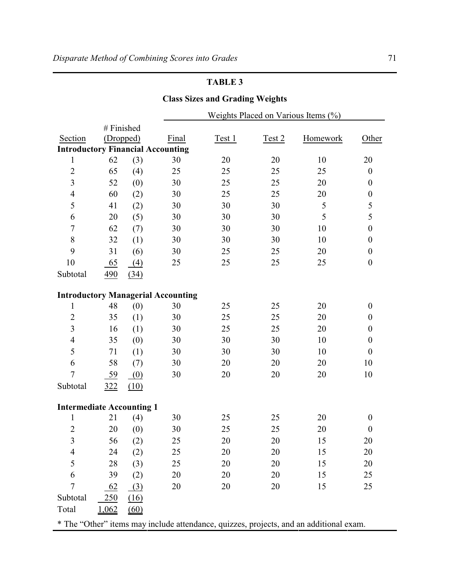# **Class Sizes and Grading Weights**

|                                                                                        |            |      |       | Weights Placed on Various Items $(\%)$ |        |          |                  |  |  |  |
|----------------------------------------------------------------------------------------|------------|------|-------|----------------------------------------|--------|----------|------------------|--|--|--|
|                                                                                        | # Finished |      |       |                                        |        |          |                  |  |  |  |
| Section                                                                                | (Dropped)  |      | Final | Test 1                                 | Test 2 | Homework | Other            |  |  |  |
| <b>Introductory Financial Accounting</b>                                               |            |      |       |                                        |        |          |                  |  |  |  |
| $\mathbf{1}$                                                                           | 62         | (3)  | 30    | 20                                     | 20     | 10       | 20               |  |  |  |
| $\sqrt{2}$                                                                             | 65         | (4)  | 25    | 25                                     | 25     | 25       | $\boldsymbol{0}$ |  |  |  |
| 3                                                                                      | 52         | (0)  | 30    | 25                                     | 25     | 20       | $\boldsymbol{0}$ |  |  |  |
| $\overline{4}$                                                                         | 60         | (2)  | 30    | 25                                     | 25     | 20       | $\boldsymbol{0}$ |  |  |  |
| 5                                                                                      | 41         | (2)  | 30    | 30                                     | 30     | 5        | 5                |  |  |  |
| 6                                                                                      | 20         | (5)  | 30    | 30                                     | 30     | 5        | 5                |  |  |  |
| $\overline{7}$                                                                         | 62         | (7)  | 30    | 30                                     | 30     | 10       | $\boldsymbol{0}$ |  |  |  |
| $8\,$                                                                                  | 32         | (1)  | 30    | 30                                     | 30     | 10       | $\boldsymbol{0}$ |  |  |  |
| 9                                                                                      | 31         | (6)  | 30    | 25                                     | 25     | 20       | $\boldsymbol{0}$ |  |  |  |
| 10                                                                                     | 65         | (4)  | 25    | 25                                     | 25     | 25       | $\boldsymbol{0}$ |  |  |  |
| Subtotal                                                                               | 490        | (34) |       |                                        |        |          |                  |  |  |  |
|                                                                                        |            |      |       |                                        |        |          |                  |  |  |  |
| <b>Introductory Managerial Accounting</b>                                              |            |      |       |                                        |        |          |                  |  |  |  |
| 1                                                                                      | 48         | (0)  | 30    | 25                                     | 25     | 20       | $\boldsymbol{0}$ |  |  |  |
| $\overline{2}$                                                                         | 35         | (1)  | 30    | 25                                     | 25     | 20       | $\boldsymbol{0}$ |  |  |  |
| $\overline{3}$                                                                         | 16         | (1)  | 30    | 25                                     | 25     | 20       | $\boldsymbol{0}$ |  |  |  |
| $\overline{4}$                                                                         | 35         | (0)  | 30    | 30                                     | 30     | 10       | $\boldsymbol{0}$ |  |  |  |
| 5                                                                                      | 71         | (1)  | 30    | 30                                     | 30     | 10       | $\boldsymbol{0}$ |  |  |  |
| 6                                                                                      | 58         | (7)  | 30    | 20                                     | 20     | 20       | 10               |  |  |  |
| $\overline{7}$                                                                         | 59         | (0)  | 30    | 20                                     | 20     | 20       | 10               |  |  |  |
| Subtotal                                                                               | 322        | (10) |       |                                        |        |          |                  |  |  |  |
|                                                                                        |            |      |       |                                        |        |          |                  |  |  |  |
| <b>Intermediate Accounting 1</b>                                                       |            |      |       |                                        |        |          |                  |  |  |  |
| $\mathbf 1$                                                                            | 21         | (4)  | 30    | 25                                     | 25     | 20       | $\boldsymbol{0}$ |  |  |  |
| $\overline{2}$                                                                         | 20         | (0)  | 30    | 25                                     | 25     | 20       | $\boldsymbol{0}$ |  |  |  |
| $\overline{3}$                                                                         | 56         | (2)  | 25    | 20                                     | 20     | 15       | 20               |  |  |  |
| 4                                                                                      | 24         | (2)  | 25    | 20                                     | 20     | 15       | 20               |  |  |  |
| 5                                                                                      | 28         | (3)  | 25    | 20                                     | 20     | 15       | 20               |  |  |  |
| 6                                                                                      | 39         | (2)  | 20    | 20                                     | 20     | 15       | 25               |  |  |  |
| 7                                                                                      | 62         | (3)  | 20    | 20                                     | 20     | 15       | 25               |  |  |  |
| Subtotal                                                                               | 250        | (16) |       |                                        |        |          |                  |  |  |  |
| Total                                                                                  | 1,062      | (60) |       |                                        |        |          |                  |  |  |  |
| * The "Other" items may include attendance, quizzes, projects, and an additional exam. |            |      |       |                                        |        |          |                  |  |  |  |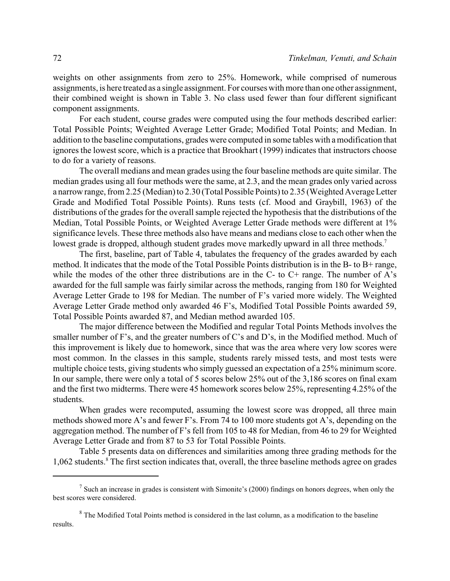weights on other assignments from zero to 25%. Homework, while comprised of numerous assignments, is here treated as a single assignment. For courses with more than one other assignment, their combined weight is shown in Table 3. No class used fewer than four different significant component assignments.

For each student, course grades were computed using the four methods described earlier: Total Possible Points; Weighted Average Letter Grade; Modified Total Points; and Median. In addition to the baseline computations, grades were computed in some tables with a modification that ignores the lowest score, which is a practice that Brookhart (1999) indicates that instructors choose to do for a variety of reasons.

The overall medians and mean grades using the four baseline methods are quite similar. The median grades using all four methods were the same, at 2.3, and the mean grades only varied across a narrow range, from 2.25 (Median) to 2.30 (Total Possible Points) to 2.35 (Weighted Average Letter Grade and Modified Total Possible Points). Runs tests (cf. Mood and Graybill, 1963) of the distributions of the grades for the overall sample rejected the hypothesis that the distributions of the Median, Total Possible Points, or Weighted Average Letter Grade methods were different at 1% significance levels. These three methods also have means and medians close to each other when the lowest grade is dropped, although student grades move markedly upward in all three methods.<sup>7</sup>

The first, baseline, part of Table 4, tabulates the frequency of the grades awarded by each method. It indicates that the mode of the Total Possible Points distribution is in the B- to B+ range, while the modes of the other three distributions are in the  $C$ - to  $C$ + range. The number of A's awarded for the full sample was fairly similar across the methods, ranging from 180 for Weighted Average Letter Grade to 198 for Median. The number of F's varied more widely. The Weighted Average Letter Grade method only awarded 46 F's, Modified Total Possible Points awarded 59, Total Possible Points awarded 87, and Median method awarded 105.

The major difference between the Modified and regular Total Points Methods involves the smaller number of F's, and the greater numbers of C's and D's, in the Modified method. Much of this improvement is likely due to homework, since that was the area where very low scores were most common. In the classes in this sample, students rarely missed tests, and most tests were multiple choice tests, giving students who simply guessed an expectation of a 25% minimum score. In our sample, there were only a total of 5 scores below 25% out of the 3,186 scores on final exam and the first two midterms. There were 45 homework scores below 25%, representing 4.25% of the students.

When grades were recomputed, assuming the lowest score was dropped, all three main methods showed more A's and fewer F's. From 74 to 100 more students got A's, depending on the aggregation method. The number of F's fell from 105 to 48 for Median, from 46 to 29 for Weighted Average Letter Grade and from 87 to 53 for Total Possible Points.

Table 5 presents data on differences and similarities among three grading methods for the 1,062 students.<sup>8</sup> The first section indicates that, overall, the three baseline methods agree on grades

 $<sup>7</sup>$  Such an increase in grades is consistent with Simonite's (2000) findings on honors degrees, when only the</sup> best scores were considered.

<sup>&</sup>lt;sup>8</sup> The Modified Total Points method is considered in the last column, as a modification to the baseline results.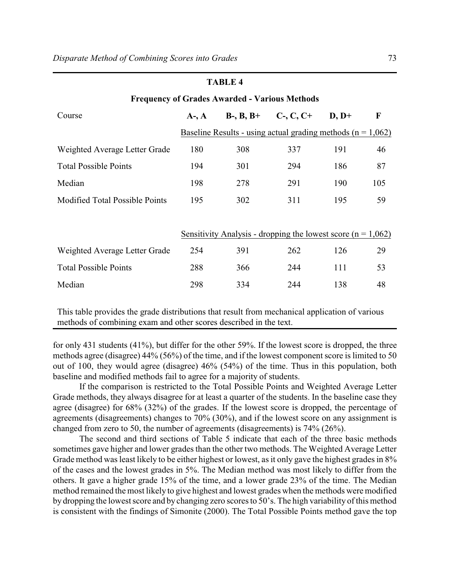|                                                      | тарыс 4    |     |                                                                 |         |     |  |  |  |  |
|------------------------------------------------------|------------|-----|-----------------------------------------------------------------|---------|-----|--|--|--|--|
| <b>Frequency of Grades Awarded - Various Methods</b> |            |     |                                                                 |         |     |  |  |  |  |
| Course                                               | $A-$ , $A$ |     | $B-, B, B^+$ C-, C, C+                                          | $D, D+$ | F   |  |  |  |  |
|                                                      |            |     | Baseline Results - using actual grading methods ( $n = 1,062$ ) |         |     |  |  |  |  |
| Weighted Average Letter Grade                        | 180        | 308 | 337                                                             | 191     | 46  |  |  |  |  |
| <b>Total Possible Points</b>                         | 194        | 301 | 294                                                             | 186     | 87  |  |  |  |  |
| Median                                               | 198        | 278 | 291                                                             | 190     | 105 |  |  |  |  |
| <b>Modified Total Possible Points</b>                | 195        | 302 | 311                                                             | 195     | 59  |  |  |  |  |
|                                                      |            |     |                                                                 |         |     |  |  |  |  |
|                                                      |            |     | Sensitivity Analysis - dropping the lowest score $(n = 1,062)$  |         |     |  |  |  |  |
| Weighted Average Letter Grade                        | 254        | 391 | 262                                                             | 126     | 29  |  |  |  |  |
| <b>Total Possible Points</b>                         | 288        | 366 | 244                                                             | 111     | 53  |  |  |  |  |
| Median                                               | 298        | 334 | 244                                                             | 138     | 48  |  |  |  |  |
|                                                      |            |     |                                                                 |         |     |  |  |  |  |

This table provides the grade distributions that result from mechanical application of various methods of combining exam and other scores described in the text.

for only 431 students (41%), but differ for the other 59%. If the lowest score is dropped, the three methods agree (disagree) 44% (56%) of the time, and if the lowest component score is limited to 50 out of 100, they would agree (disagree) 46% (54%) of the time. Thus in this population, both baseline and modified methods fail to agree for a majority of students.

If the comparison is restricted to the Total Possible Points and Weighted Average Letter Grade methods, they always disagree for at least a quarter of the students. In the baseline case they agree (disagree) for 68% (32%) of the grades. If the lowest score is dropped, the percentage of agreements (disagreements) changes to 70% (30%), and if the lowest score on any assignment is changed from zero to 50, the number of agreements (disagreements) is 74% (26%).

The second and third sections of Table 5 indicate that each of the three basic methods sometimes gave higher and lower grades than the other two methods. The Weighted Average Letter Grade method was least likely to be either highest or lowest, as it only gave the highest grades in  $8\%$ of the cases and the lowest grades in 5%. The Median method was most likely to differ from the others. It gave a higher grade 15% of the time, and a lower grade 23% of the time. The Median method remained the most likely to give highest and lowest grades when the methods were modified by dropping the lowest score and by changing zero scores to 50's. The high variability of this method is consistent with the findings of Simonite (2000). The Total Possible Points method gave the top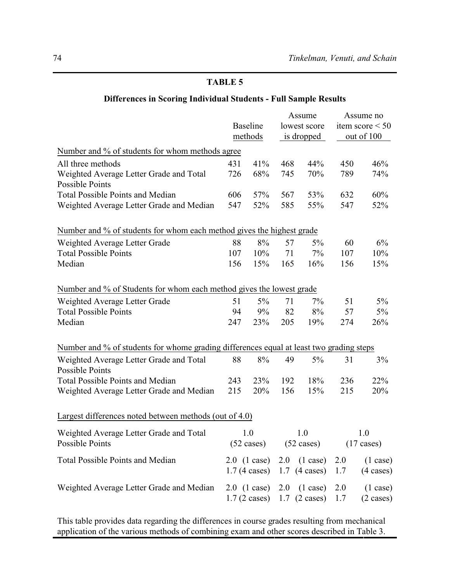# **Differences in Scoring Individual Students - Full Sample Results**

|                                                                                         |                      | <b>Baseline</b><br>methods | Assume<br>lowest score<br>is dropped |                                                 | Assume no<br>item score $\leq 50$<br>out of 100 |                     |  |
|-----------------------------------------------------------------------------------------|----------------------|----------------------------|--------------------------------------|-------------------------------------------------|-------------------------------------------------|---------------------|--|
| Number and % of students for whom methods agree                                         |                      |                            |                                      |                                                 |                                                 |                     |  |
| All three methods                                                                       | 431                  | 41%                        | 468                                  | 44%                                             | 450                                             | 46%                 |  |
| Weighted Average Letter Grade and Total                                                 | 726                  | 68%                        | 745                                  | 70%                                             | 789                                             | 74%                 |  |
| <b>Possible Points</b>                                                                  |                      |                            |                                      |                                                 |                                                 |                     |  |
| <b>Total Possible Points and Median</b>                                                 | 606                  | 57%                        | 567                                  | 53%                                             | 632                                             | 60%                 |  |
| Weighted Average Letter Grade and Median                                                | 547                  | 52%                        | 585                                  | 55%                                             | 547                                             | 52%                 |  |
| Number and % of students for whom each method gives the highest grade                   |                      |                            |                                      |                                                 |                                                 |                     |  |
| Weighted Average Letter Grade                                                           | 88                   | 8%                         | 57                                   | $5\%$                                           | 60                                              | 6%                  |  |
| <b>Total Possible Points</b>                                                            | 107                  | 10%                        | 71                                   | 7%                                              | 107                                             | 10%                 |  |
| Median                                                                                  | 156                  | 15%                        | 165                                  | 16%                                             | 156                                             | 15%                 |  |
| Number and % of Students for whom each method gives the lowest grade                    |                      |                            |                                      |                                                 |                                                 |                     |  |
| Weighted Average Letter Grade                                                           | 51                   | $5\%$                      | 71                                   | 7%                                              | 51                                              | $5\%$               |  |
| <b>Total Possible Points</b>                                                            | 94                   | 9%                         | 82                                   | 8%                                              | 57                                              | $5\%$               |  |
| Median                                                                                  | 247                  | 23%                        | 205                                  | 19%                                             | 274                                             | 26%                 |  |
| Number and % of students for whome grading differences equal at least two grading steps |                      |                            |                                      |                                                 |                                                 |                     |  |
| Weighted Average Letter Grade and Total<br><b>Possible Points</b>                       | 88                   | 8%                         | 49                                   | $5\%$                                           | 31                                              | 3%                  |  |
| <b>Total Possible Points and Median</b>                                                 | 243                  | 23%                        | 192                                  | 18%                                             | 236                                             | 22%                 |  |
| Weighted Average Letter Grade and Median                                                | 215                  | 20%                        | 156                                  | 15%                                             | 215                                             | 20%                 |  |
| Largest differences noted between methods (out of 4.0)                                  |                      |                            |                                      |                                                 |                                                 |                     |  |
| Weighted Average Letter Grade and Total                                                 |                      | 1.0                        |                                      | 1.0                                             |                                                 | 1.0                 |  |
| Possible Points                                                                         | $(52 \text{ cases})$ |                            | $(52 \text{ cases})$                 |                                                 | $(17 \text{ cases})$                            |                     |  |
| <b>Total Possible Points and Median</b>                                                 |                      | $2.0$ (1 case)             | 2.0                                  | $(1 \text{ case})$                              | 2.0                                             | $(1 \text{ case})$  |  |
|                                                                                         |                      | $1.7(4 \text{ cases})$     |                                      | $1.7$ (4 cases)                                 | 1.7                                             | $(4 \text{ cases})$ |  |
| Weighted Average Letter Grade and Median                                                |                      | $2.0 \text{ (1 case)}$     | 2.0                                  | $(1 \text{ case})$                              | 2.0                                             | $(1 \text{ case})$  |  |
|                                                                                         |                      |                            |                                      | $1.7 (2 \text{ cases})$ 1.7 $(2 \text{ cases})$ | 1.7                                             | $(2 \cases)$        |  |

This table provides data regarding the differences in course grades resulting from mechanical application of the various methods of combining exam and other scores described in Table 3.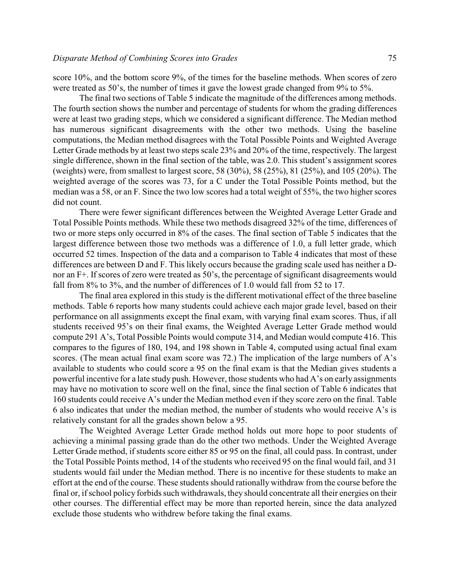score 10%, and the bottom score 9%, of the times for the baseline methods. When scores of zero were treated as 50's, the number of times it gave the lowest grade changed from 9% to 5%.

The final two sections of Table 5 indicate the magnitude of the differences among methods. The fourth section shows the number and percentage of students for whom the grading differences were at least two grading steps, which we considered a significant difference. The Median method has numerous significant disagreements with the other two methods. Using the baseline computations, the Median method disagrees with the Total Possible Points and Weighted Average Letter Grade methods by at least two steps scale 23% and 20% of the time, respectively. The largest single difference, shown in the final section of the table, was 2.0. This student's assignment scores (weights) were, from smallest to largest score, 58 (30%), 58 (25%), 81 (25%), and 105 (20%). The weighted average of the scores was 73, for a C under the Total Possible Points method, but the median was a 58, or an F. Since the two low scores had a total weight of 55%, the two higher scores did not count.

There were fewer significant differences between the Weighted Average Letter Grade and Total Possible Points methods. While these two methods disagreed 32% of the time, differences of two or more steps only occurred in 8% of the cases. The final section of Table 5 indicates that the largest difference between those two methods was a difference of 1.0, a full letter grade, which occurred 52 times. Inspection of the data and a comparison to Table 4 indicates that most of these differences are between D and F. This likely occurs because the grading scale used has neither a Dnor an F+. If scores of zero were treated as 50's, the percentage of significant disagreements would fall from 8% to 3%, and the number of differences of 1.0 would fall from 52 to 17.

The final area explored in this study is the different motivational effect of the three baseline methods. Table 6 reports how many students could achieve each major grade level, based on their performance on all assignments except the final exam, with varying final exam scores. Thus, if all students received 95's on their final exams, the Weighted Average Letter Grade method would compute 291 A's, Total Possible Points would compute 314, and Median would compute 416. This compares to the figures of 180, 194, and 198 shown in Table 4, computed using actual final exam scores. (The mean actual final exam score was 72.) The implication of the large numbers of A's available to students who could score a 95 on the final exam is that the Median gives students a powerful incentive for a late study push. However, those students who had A's on early assignments may have no motivation to score well on the final, since the final section of Table 6 indicates that 160 students could receive A's under the Median method even if they score zero on the final. Table 6 also indicates that under the median method, the number of students who would receive A's is relatively constant for all the grades shown below a 95.

The Weighted Average Letter Grade method holds out more hope to poor students of achieving a minimal passing grade than do the other two methods. Under the Weighted Average Letter Grade method, if students score either 85 or 95 on the final, all could pass. In contrast, under the Total Possible Points method, 14 of the students who received 95 on the final would fail, and 31 students would fail under the Median method. There is no incentive for these students to make an effort at the end of the course. These students should rationally withdraw from the course before the final or, if school policy forbids such withdrawals, they should concentrate all their energies on their other courses. The differential effect may be more than reported herein, since the data analyzed exclude those students who withdrew before taking the final exams.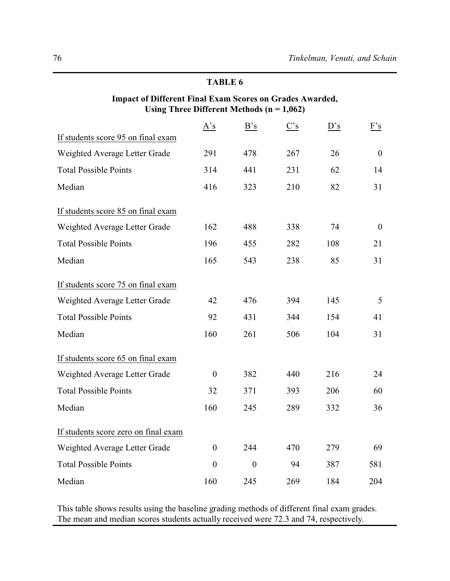# **Impact of Different Final Exam Scores on Grades Awarded, Using Three Different Methods (n = 1,062)**

|                                      | A's              | B's          | $\frac{C's}{C}$ | D's | F's              |
|--------------------------------------|------------------|--------------|-----------------|-----|------------------|
| If students score 95 on final exam   |                  |              |                 |     |                  |
| Weighted Average Letter Grade        | 291              | 478          | 267             | 26  | $\boldsymbol{0}$ |
| <b>Total Possible Points</b>         | 314              | 441          | 231             | 62  | 14               |
| Median                               | 416              | 323          | 210             | 82  | 31               |
| If students score 85 on final exam   |                  |              |                 |     |                  |
| Weighted Average Letter Grade        | 162              | 488          | 338             | 74  | $\mathbf{0}$     |
| <b>Total Possible Points</b>         | 196              | 455          | 282             | 108 | 21               |
| Median                               | 165              | 543          | 238             | 85  | 31               |
| If students score 75 on final exam   |                  |              |                 |     |                  |
| Weighted Average Letter Grade        | 42               | 476          | 394             | 145 | 5                |
| <b>Total Possible Points</b>         | 92               | 431          | 344             | 154 | 41               |
| Median                               | 160              | 261          | 506             | 104 | 31               |
| If students score 65 on final exam   |                  |              |                 |     |                  |
| Weighted Average Letter Grade        | $\boldsymbol{0}$ | 382          | 440             | 216 | 24               |
| <b>Total Possible Points</b>         | 32               | 371          | 393             | 206 | 60               |
| Median                               | 160              | 245          | 289             | 332 | 36               |
| If students score zero on final exam |                  |              |                 |     |                  |
| Weighted Average Letter Grade        | $\mathbf{0}$     | 244          | 470             | 279 | 69               |
| <b>Total Possible Points</b>         | $\mathbf{0}$     | $\mathbf{0}$ | 94              | 387 | 581              |
| Median                               | 160              | 245          | 269             | 184 | 204              |

This table shows results using the baseline grading methods of different final exam grades. The mean and median scores students actually received were 72.3 and 74, respectively.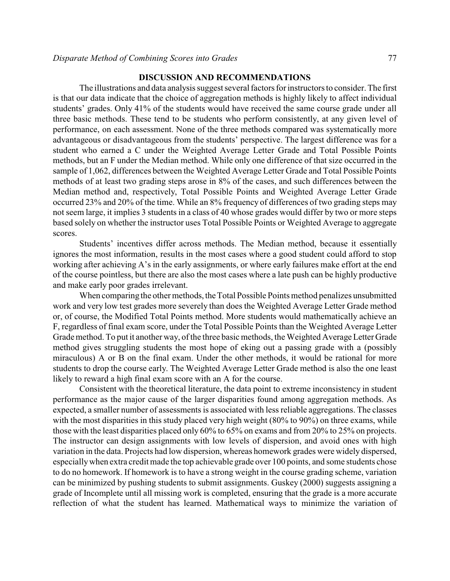### **DISCUSSION AND RECOMMENDATIONS**

The illustrations and data analysis suggest several factors for instructors to consider. The first is that our data indicate that the choice of aggregation methods is highly likely to affect individual students' grades. Only 41% of the students would have received the same course grade under all three basic methods. These tend to be students who perform consistently, at any given level of performance, on each assessment. None of the three methods compared was systematically more advantageous or disadvantageous from the students' perspective. The largest difference was for a student who earned a C under the Weighted Average Letter Grade and Total Possible Points methods, but an F under the Median method. While only one difference of that size occurred in the sample of 1,062, differences between the Weighted Average Letter Grade and Total Possible Points methods of at least two grading steps arose in 8% of the cases, and such differences between the Median method and, respectively, Total Possible Points and Weighted Average Letter Grade occurred 23% and 20% of the time. While an 8% frequency of differences of two grading steps may not seem large, it implies 3 students in a class of 40 whose grades would differ by two or more steps based solely on whether the instructor uses Total Possible Points or Weighted Average to aggregate scores.

Students' incentives differ across methods. The Median method, because it essentially ignores the most information, results in the most cases where a good student could afford to stop working after achieving A's in the early assignments, or where early failures make effort at the end of the course pointless, but there are also the most cases where a late push can be highly productive and make early poor grades irrelevant.

When comparing the other methods, the Total Possible Points method penalizes unsubmitted work and very low test grades more severely than does the Weighted Average Letter Grade method or, of course, the Modified Total Points method. More students would mathematically achieve an F, regardless of final exam score, under the Total Possible Points than the Weighted Average Letter Grade method. To put it another way, of the three basic methods, the Weighted Average Letter Grade method gives struggling students the most hope of eking out a passing grade with a (possibly miraculous) A or B on the final exam. Under the other methods, it would be rational for more students to drop the course early. The Weighted Average Letter Grade method is also the one least likely to reward a high final exam score with an A for the course.

Consistent with the theoretical literature, the data point to extreme inconsistency in student performance as the major cause of the larger disparities found among aggregation methods. As expected, a smaller number of assessments is associated with less reliable aggregations. The classes with the most disparities in this study placed very high weight (80% to 90%) on three exams, while those with the least disparities placed only 60% to 65% on exams and from 20% to 25% on projects. The instructor can design assignments with low levels of dispersion, and avoid ones with high variation in the data. Projects had low dispersion, whereas homework grades were widely dispersed, especiallywhen extra credit made the top achievable grade over 100 points, and some students chose to do no homework. If homework is to have a strong weight in the course grading scheme, variation can be minimized by pushing students to submit assignments. Guskey (2000) suggests assigning a grade of Incomplete until all missing work is completed, ensuring that the grade is a more accurate reflection of what the student has learned. Mathematical ways to minimize the variation of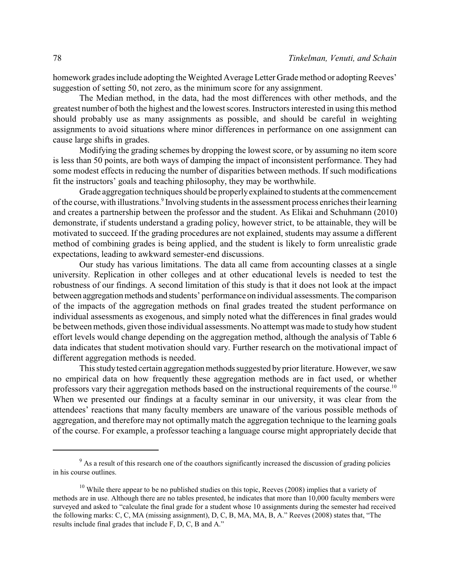homework grades include adopting the Weighted Average Letter Grade method or adopting Reeves' suggestion of setting 50, not zero, as the minimum score for any assignment.

The Median method, in the data, had the most differences with other methods, and the greatest number of both the highest and the lowest scores. Instructors interested in using this method should probably use as many assignments as possible, and should be careful in weighting assignments to avoid situations where minor differences in performance on one assignment can cause large shifts in grades.

Modifying the grading schemes by dropping the lowest score, or by assuming no item score is less than 50 points, are both ways of damping the impact of inconsistent performance. They had some modest effects in reducing the number of disparities between methods. If such modifications fit the instructors' goals and teaching philosophy, they may be worthwhile.

Grade aggregation techniques should be properlyexplained to students atthe commencement of the course, with illustrations.<sup>9</sup> Involving students in the assessment process enriches their learning and creates a partnership between the professor and the student. As Elikai and Schuhmann (2010) demonstrate, if students understand a grading policy, however strict, to be attainable, they will be motivated to succeed. If the grading procedures are not explained, students may assume a different method of combining grades is being applied, and the student is likely to form unrealistic grade expectations, leading to awkward semester-end discussions.

Our study has various limitations. The data all came from accounting classes at a single university. Replication in other colleges and at other educational levels is needed to test the robustness of our findings. A second limitation of this study is that it does not look at the impact between aggregation methods and students' performance on individual assessments. The comparison of the impacts of the aggregation methods on final grades treated the student performance on individual assessments as exogenous, and simply noted what the differences in final grades would be between methods, given those individual assessments. No attempt was made to study how student effort levels would change depending on the aggregation method, although the analysis of Table 6 data indicates that student motivation should vary. Further research on the motivational impact of different aggregation methods is needed.

This study tested certain aggregation methods suggested by prior literature. However, we saw no empirical data on how frequently these aggregation methods are in fact used, or whether professors vary their aggregation methods based on the instructional requirements of the course.<sup>10</sup> When we presented our findings at a faculty seminar in our university, it was clear from the attendees' reactions that many faculty members are unaware of the various possible methods of aggregation, and therefore may not optimally match the aggregation technique to the learning goals of the course. For example, a professor teaching a language course might appropriately decide that

<sup>&</sup>lt;sup>9</sup> As a result of this research one of the coauthors significantly increased the discussion of grading policies in his course outlines.

<sup>&</sup>lt;sup>10</sup> While there appear to be no published studies on this topic, Reeves (2008) implies that a variety of methods are in use. Although there are no tables presented, he indicates that more than 10,000 faculty members were surveyed and asked to "calculate the final grade for a student whose 10 assignments during the semester had received the following marks: C, C, MA (missing assignment), D, C, B, MA, MA, B, A." Reeves (2008) states that, "The results include final grades that include F, D, C, B and A."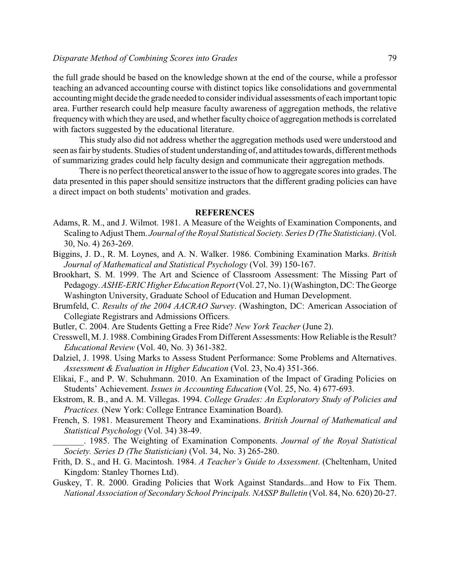the full grade should be based on the knowledge shown at the end of the course, while a professor teaching an advanced accounting course with distinct topics like consolidations and governmental accounting might decide the grade needed to consider individual assessments of each important topic area. Further research could help measure faculty awareness of aggregation methods, the relative frequencywith which they are used, and whether faculty choice of aggregation methods is correlated with factors suggested by the educational literature.

This study also did not address whether the aggregation methods used were understood and seen as fair by students. Studies of student understanding of, and attitudes towards, different methods of summarizing grades could help faculty design and communicate their aggregation methods.

There is no perfect theoretical answer to the issue of how to aggregate scores into grades. The data presented in this paper should sensitize instructors that the different grading policies can have a direct impact on both students' motivation and grades.

### **REFERENCES**

- Adams, R. M., and J. Wilmot. 1981. A Measure of the Weights of Examination Components, and Scaling to Adjust Them. *Journal of the Royal Statistical Society. Series D (The Statistician)*. (Vol. 30, No. 4) 263-269.
- Biggins, J. D., R. M. Loynes, and A. N. Walker. 1986. Combining Examination Marks. *British Journal of Mathematical and Statistical Psychology* (Vol. 39) 150-167.
- Brookhart, S. M. 1999. The Art and Science of Classroom Assessment: The Missing Part of Pedagogy. *ASHE-ERIC Higher Education Report*(Vol. 27, No. 1) (Washington, DC: The George Washington University, Graduate School of Education and Human Development.
- Brumfeld, C. *Results of the 2004 AACRAO Survey*. (Washington, DC: American Association of Collegiate Registrars and Admissions Officers.
- Butler, C. 2004. Are Students Getting a Free Ride? *New York Teacher* (June 2).
- Cresswell, M. J. 1988. Combining Grades From Different Assessments: How Reliable is the Result? *Educational Review* (Vol. 40, No. 3) 361-382.
- Dalziel, J. 1998. Using Marks to Assess Student Performance: Some Problems and Alternatives. *Assessment & Evaluation in Higher Education* (Vol. 23, No.4) 351-366.
- Elikai, F., and P. W. Schuhmann. 2010. An Examination of the Impact of Grading Policies on Students' Achievement. *Issues in Accounting Education* (Vol. 25, No. 4) 677-693.
- Ekstrom, R. B., and A. M. Villegas. 1994. *College Grades: An Exploratory Study of Policies and Practices.* (New York: College Entrance Examination Board).
- French, S. 1981. Measurement Theory and Examinations. *British Journal of Mathematical and Statistical Psychology* (Vol. 34) 38-49.
- \_\_\_\_\_\_\_. 1985. The Weighting of Examination Components. *Journal of the Royal Statistical Society. Series D (The Statistician)* (Vol. 34, No. 3) 265-280.
- Frith, D. S., and H. G. Macintosh. 1984. *A Teacher's Guide to Assessment*. (Cheltenham, United Kingdom: Stanley Thornes Ltd).
- Guskey, T. R. 2000. Grading Policies that Work Against Standards...and How to Fix Them. *National Association of Secondary School Principals. NASSP Bulletin* (Vol. 84, No. 620) 20-27.